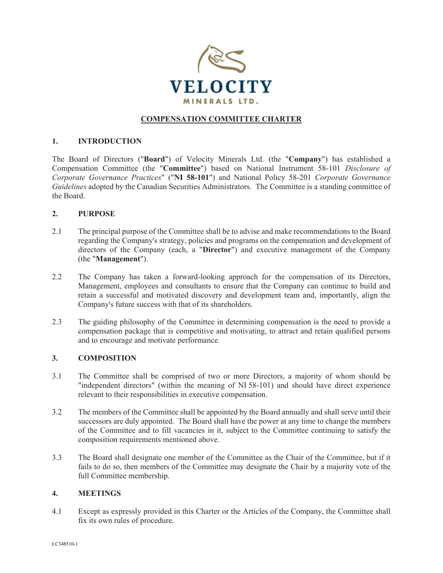

## **COMPENSATION COMMITTEE CHARTER**

### **1. INTRODUCTION**

The Board of Directors ("**Board**") of Velocity Minerals Ltd. (the "**Company**") has established a Compensation Committee (the "**Committee**") based on National Instrument 58-101 *Disclosure of Corporate Governance Practices*" ("**NI 58-101**") and National Policy 58-201 *Corporate Governance Guidelines* adopted by the Canadian Securities Administrators. The Committee is a standing committee of the Board.

#### **2. PURPOSE**

- 2.1 The principal purpose of the Committee shall be to advise and make recommendations to the Board regarding the Company's strategy, policies and programs on the compensation and development of directors of the Company (each, a "**Director**") and executive management of the Company (the "**Management**").
- 2.2 The Company has taken a forward-looking approach for the compensation of its Directors, Management, employees and consultants to ensure that the Company can continue to build and retain a successful and motivated discovery and development team and, importantly, align the Company's future success with that of its shareholders.
- 2.3 The guiding philosophy of the Committee in determining compensation is the need to provide a compensation package that is competitive and motivating, to attract and retain qualified persons and to encourage and motivate performance.

### **3. COMPOSITION**

- 3.1 The Committee shall be comprised of two or more Directors, a majority of whom should be "independent directors" (within the meaning of NI 58-101) and should have direct experience relevant to their responsibilities in executive compensation.
- 3.2 The members of the Committee shall be appointed by the Board annually and shall serve until their successors are duly appointed. The Board shall have the power at any time to change the members of the Committee and to fill vacancies in it, subject to the Committee continuing to satisfy the composition requirements mentioned above.
- 3.3 The Board shall designate one member of the Committee as the Chair of the Committee, but if it fails to do so, then members of the Committee may designate the Chair by a majority vote of the full Committee membership.

#### **4. MEETINGS**

4.1 Except as expressly provided in this Charter or the Articles of the Company, the Committee shall fix its own rules of procedure.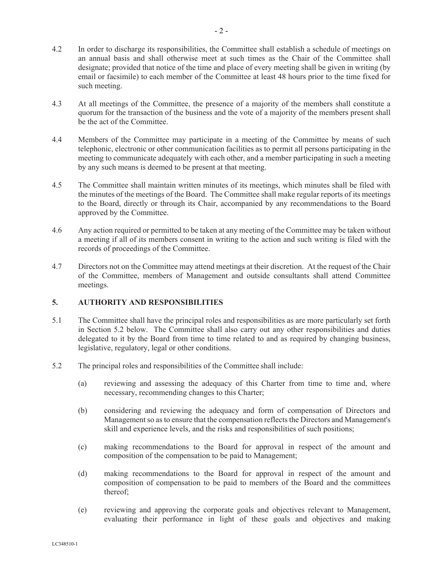- 4.3 At all meetings of the Committee, the presence of a majority of the members shall constitute a quorum for the transaction of the business and the vote of a majority of the members present shall be the act of the Committee.
- 4.4 Members of the Committee may participate in a meeting of the Committee by means of such telephonic, electronic or other communication facilities as to permit all persons participating in the meeting to communicate adequately with each other, and a member participating in such a meeting by any such means is deemed to be present at that meeting.
- 4.5 The Committee shall maintain written minutes of its meetings, which minutes shall be filed with the minutes of the meetings of the Board. The Committee shall make regular reports of its meetings to the Board, directly or through its Chair, accompanied by any recommendations to the Board approved by the Committee.
- 4.6 Any action required or permitted to be taken at any meeting of the Committee may be taken without a meeting if all of its members consent in writing to the action and such writing is filed with the records of proceedings of the Committee.
- 4.7 Directors not on the Committee may attend meetings at their discretion. At the request of the Chair of the Committee, members of Management and outside consultants shall attend Committee meetings.

# **5. AUTHORITY AND RESPONSIBILITIES**

- 5.1 The Committee shall have the principal roles and responsibilities as are more particularly set forth in Section 5.2 below. The Committee shall also carry out any other responsibilities and duties delegated to it by the Board from time to time related to and as required by changing business, legislative, regulatory, legal or other conditions.
- 5.2 The principal roles and responsibilities of the Committee shall include:
	- (a) reviewing and assessing the adequacy of this Charter from time to time and, where necessary, recommending changes to this Charter;
	- (b) considering and reviewing the adequacy and form of compensation of Directors and Management so as to ensure that the compensation reflects the Directors and Management's skill and experience levels, and the risks and responsibilities of such positions;
	- (c) making recommendations to the Board for approval in respect of the amount and composition of the compensation to be paid to Management;
	- (d) making recommendations to the Board for approval in respect of the amount and composition of compensation to be paid to members of the Board and the committees thereof;
	- (e) reviewing and approving the corporate goals and objectives relevant to Management, evaluating their performance in light of these goals and objectives and making